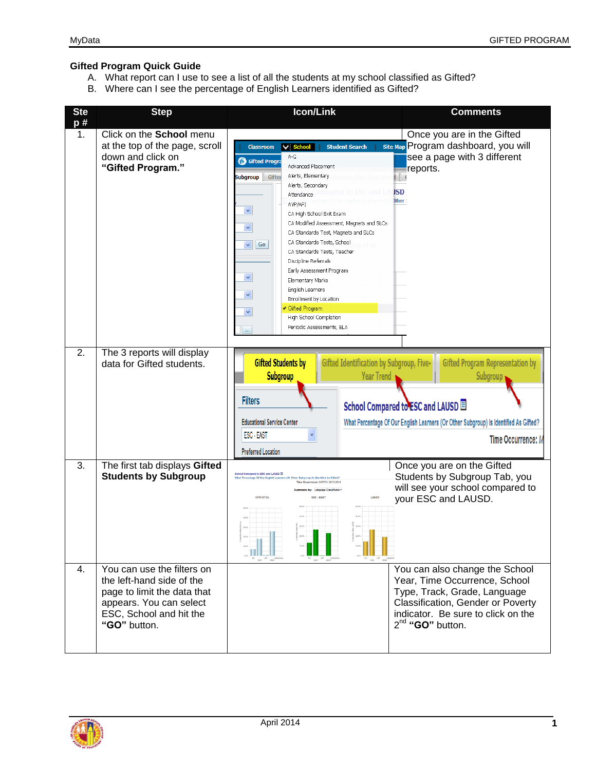## **Gifted Program Quick Guide**

- A. What report can I use to see a list of all the students at my school classified as Gifted?
- B. Where can I see the percentage of English Learners identified as Gifted?



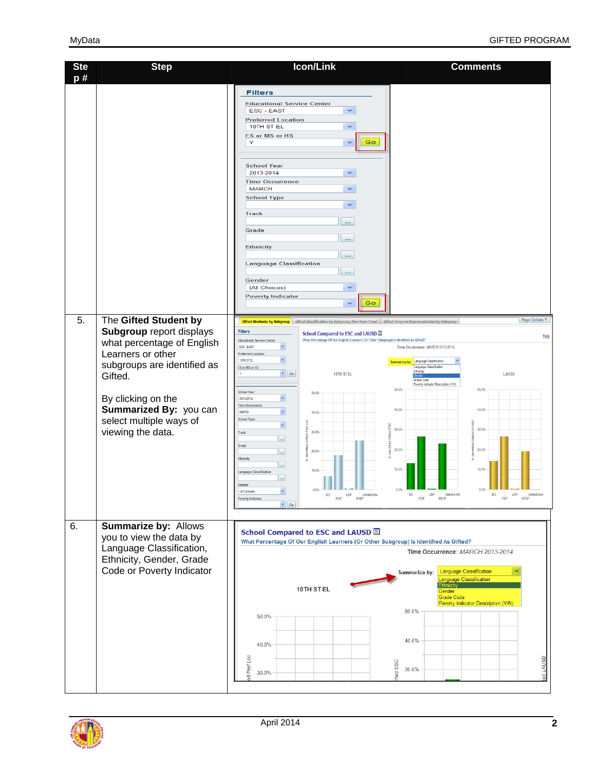| <b>Ste</b><br>p# | <b>Step</b>                                                                                                                                                                                                                                           | Icon/Link                                                                                                                                                                                                                                                                                                                                                                                                                                                                                                                                                                                                                                                                                                                                                                                                                                                                                          | <b>Comments</b>                                                                                                                                                                                                                                                                                                                                                   |
|------------------|-------------------------------------------------------------------------------------------------------------------------------------------------------------------------------------------------------------------------------------------------------|----------------------------------------------------------------------------------------------------------------------------------------------------------------------------------------------------------------------------------------------------------------------------------------------------------------------------------------------------------------------------------------------------------------------------------------------------------------------------------------------------------------------------------------------------------------------------------------------------------------------------------------------------------------------------------------------------------------------------------------------------------------------------------------------------------------------------------------------------------------------------------------------------|-------------------------------------------------------------------------------------------------------------------------------------------------------------------------------------------------------------------------------------------------------------------------------------------------------------------------------------------------------------------|
|                  |                                                                                                                                                                                                                                                       | <b>Filters</b><br><b>Educational Service Center</b><br><b>ESC - EAST</b><br>$\checkmark$<br><b>Preferred Location</b><br>10TH ST EL<br>$\checkmark$<br><b>ES or MS or HS</b><br>Go<br>Y<br>$\checkmark$<br><b>School Year</b><br>2013-2014<br>$\checkmark$<br><b>Time Occurrence</b><br><b>MARCH</b><br>$\checkmark$<br><b>School Type</b><br>$\checkmark$<br><b>Track</b><br>ш.<br>Grade<br>ш.<br><b>Ethnicity</b><br><br><b>Language Classification</b><br><br>Gender<br>$\checkmark$<br>(All Choices)<br><b>Poverty Indicator</b><br>Go<br>×                                                                                                                                                                                                                                                                                                                                                    |                                                                                                                                                                                                                                                                                                                                                                   |
| 5.               | The Gifted Student by<br><b>Subgroup report displays</b><br>what percentage of English<br>Learners or other<br>subgroups are identified as<br>Gifted.<br>By clicking on the<br>Summarized By: you can<br>select multiple ways of<br>viewing the data. | Gifted Students by Subgroup Gifted Identification by Subgroup, Five-Year Trend Gifted Program Representation by Subgroup<br>Filters<br>School Compared to ESC and LAUSD ■<br>What Percentage Of Our English Learners (Or Other Subgroup) Is Identified As Gifted?<br><b>Educational Service Center</b><br>ESC-EAST<br>$\checkmark$<br><b>Preferred Location</b><br>$\checkmark$<br>10TH ST EL<br>ES or MS or HS<br>$\vee$ $G_0$<br>10TH ST EL<br><b>School Year</b><br>50.0%<br>2013-2014<br>$\checkmark$<br><b>Time Occurrence</b><br>$\checkmark$<br><b>MARCH</b><br>40.0%<br><b>School Type</b><br>$\bar{\mathbf{v}}$<br>ESC<br>Pref<br>30.0%<br>Track<br>$\ldots$<br>Grade<br>20.0%<br>$\ldots$<br>Ethnicity<br>$\cdots$<br>10.0%<br>Language Classification<br>$\overline{\phantom{a}}$<br>Gender<br>(All Choices)<br>$\checkmark$<br>EO LEP UNKNOWN<br><b>Poverty Indicator</b><br>$\vee$ Go | Page Options ▼<br>Help<br>Time Occurrence: MARCH 2013-2014<br>Summarize by: Language Classification<br>Language Classification<br>Ethnicity<br>LAUSD<br>Grade Code<br>Poverty Indicator Description (Y/N)<br>50.0%<br>50.0%<br>40.0%<br>40.0%<br><b>AUSD</b><br>30.0%<br>30.0%<br>20.0%<br>20.0%<br>10.0%<br>10.0%<br>$0.0\%$<br>EO LEP UNKNOWN<br>EO LEP UNKNOWN |
| 6.               | Summarize by: Allows<br>you to view the data by<br>Language Classification,<br>Ethnicity, Gender, Grade<br>Code or Poverty Indicator                                                                                                                  | School Compared to ESC and LAUSD <sup>1</sup><br>What Percentage Of Our English Learners (Or Other Subgroup) Is Identified As Gifted?<br>10TH STEL<br>50.0%<br>40.0%<br>Pref Loc<br>30.0%<br>ਦੂ                                                                                                                                                                                                                                                                                                                                                                                                                                                                                                                                                                                                                                                                                                    | Time Occurrence: MARCH 2013-2014<br>Language Classification<br>Summarize by:<br><b>Language Classification</b><br><b>Ethnicity</b><br>Gender<br>Grade Code<br>Poverty Indicator Description (Y/N)<br>50.0%<br>40.0%<br>ed LAUSD<br>fted ESC<br>30.0%                                                                                                              |